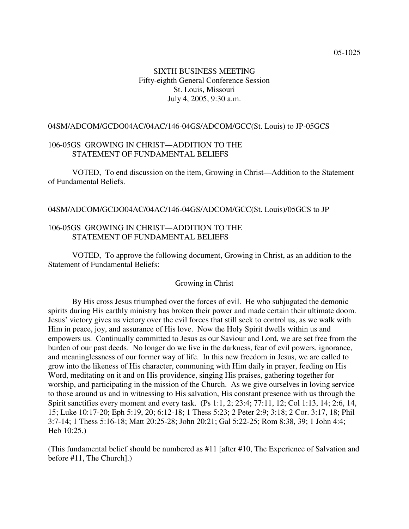# SIXTH BUSINESS MEETING Fifty-eighth General Conference Session St. Louis, Missouri July 4, 2005, 9:30 a.m.

#### 04SM/ADCOM/GCDO04AC/04AC/146-04GS/ADCOM/GCC(St. Louis) to JP-05GCS

## 106-05GS GROWING IN CHRIST-ADDITION TO THE STATEMENT OF FUNDAMENTAL BELIEFS

VOTED, To end discussion on the item, Growing in Christ—Addition to the Statement of Fundamental Beliefs.

#### 04SM/ADCOM/GCDO04AC/04AC/146-04GS/ADCOM/GCC(St. Louis)/05GCS to JP

## 106-05GS GROWING IN CHRIST-ADDITION TO THE STATEMENT OF FUNDAMENTAL BELIEFS

VOTED, To approve the following document, Growing in Christ, as an addition to the Statement of Fundamental Beliefs:

#### Growing in Christ

By His cross Jesus triumphed over the forces of evil. He who subjugated the demonic spirits during His earthly ministry has broken their power and made certain their ultimate doom. Jesus' victory gives us victory over the evil forces that still seek to control us, as we walk with Him in peace, joy, and assurance of His love. Now the Holy Spirit dwells within us and empowers us. Continually committed to Jesus as our Saviour and Lord, we are set free from the burden of our past deeds. No longer do we live in the darkness, fear of evil powers, ignorance, and meaninglessness of our former way of life. In this new freedom in Jesus, we are called to grow into the likeness of His character, communing with Him daily in prayer, feeding on His Word, meditating on it and on His providence, singing His praises, gathering together for worship, and participating in the mission of the Church. As we give ourselves in loving service to those around us and in witnessing to His salvation, His constant presence with us through the Spirit sanctifies every moment and every task. (Ps 1:1, 2; 23:4; 77:11, 12; Col 1:13, 14; 2:6, 14, 15; Luke 10:17-20; Eph 5:19, 20; 6:12-18; 1 Thess 5:23; 2 Peter 2:9; 3:18; 2 Cor. 3:17, 18; Phil 3:7-14; 1 Thess 5:16-18; Matt 20:25-28; John 20:21; Gal 5:22-25; Rom 8:38, 39; 1 John 4:4; Heb 10:25.)

(This fundamental belief should be numbered as #11 [after #10, The Experience of Salvation and before #11, The Church].)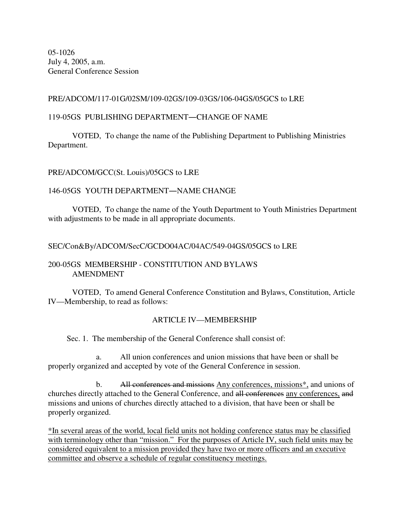05-1026 July 4, 2005, a.m. General Conference Session

## PRE/ADCOM/117-01G/02SM/109-02GS/109-03GS/106-04GS/05GCS to LRE

## 119-05GS PUBLISHING DEPARTMENT-CHANGE OF NAME

VOTED, To change the name of the Publishing Department to Publishing Ministries Department.

# PRE/ADCOM/GCC(St. Louis)/05GCS to LRE

## 146-05GS YOUTH DEPARTMENT—NAME CHANGE

VOTED, To change the name of the Youth Department to Youth Ministries Department with adjustments to be made in all appropriate documents.

## SEC/Con&By/ADCOM/SecC/GCDO04AC/04AC/549-04GS/05GCS to LRE

#### 200-05GS MEMBERSHIP - CONSTITUTION AND BYLAWS AMENDMENT

VOTED, To amend General Conference Constitution and Bylaws, Constitution, Article IV—Membership, to read as follows:

## ARTICLE IV—MEMBERSHIP

Sec. 1. The membership of the General Conference shall consist of:

a. All union conferences and union missions that have been or shall be properly organized and accepted by vote of the General Conference in session.

b. All conferences and missions Any conferences, missions<sup>\*</sup>, and unions of churches directly attached to the General Conference, and all conferences any conferences, and missions and unions of churches directly attached to a division, that have been or shall be properly organized.

\*In several areas of the world, local field units not holding conference status may be classified with terminology other than "mission." For the purposes of Article IV, such field units may be considered equivalent to a mission provided they have two or more officers and an executive committee and observe a schedule of regular constituency meetings.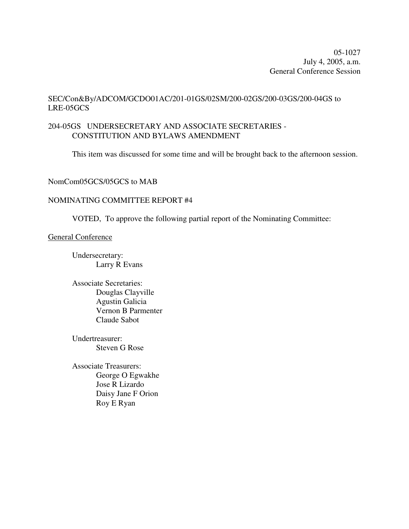05-1027 July 4, 2005, a.m. General Conference Session

# SEC/Con&By/ADCOM/GCDO01AC/201-01GS/02SM/200-02GS/200-03GS/200-04GS to LRE-05GCS

# 204-05GS UNDERSECRETARY AND ASSOCIATE SECRETARIES - CONSTITUTION AND BYLAWS AMENDMENT

This item was discussed for some time and will be brought back to the afternoon session.

## NomCom05GCS/05GCS to MAB

## NOMINATING COMMITTEE REPORT #4

VOTED, To approve the following partial report of the Nominating Committee:

#### General Conference

Undersecretary: Larry R Evans

Associate Secretaries: Douglas Clayville Agustin Galicia Vernon B Parmenter Claude Sabot

Undertreasurer: Steven G Rose

Associate Treasurers: George O Egwakhe Jose R Lizardo Daisy Jane F Orion Roy E Ryan